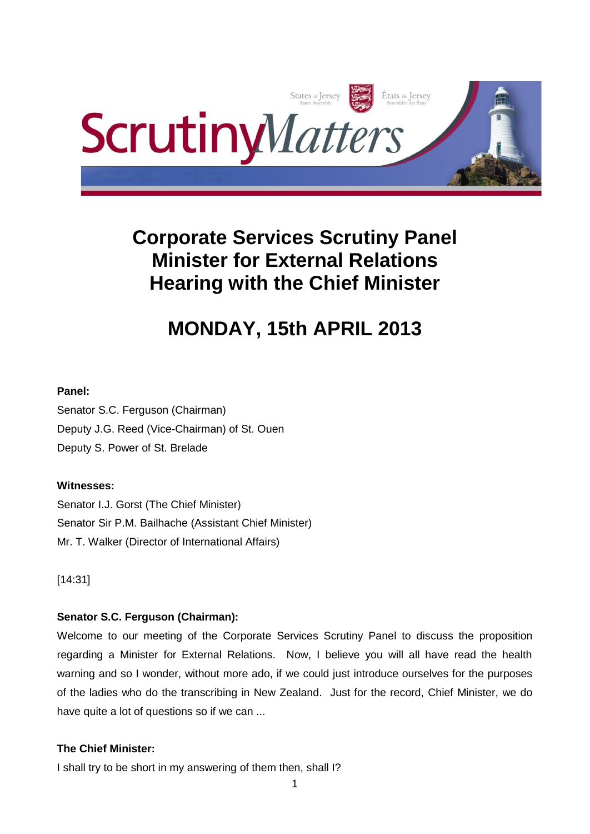

# **Corporate Services Scrutiny Panel Minister for External Relations Hearing with the Chief Minister**

# **MONDAY, 15th APRIL 2013**

### **Panel:**

Senator S.C. Ferguson (Chairman) Deputy J.G. Reed (Vice-Chairman) of St. Ouen Deputy S. Power of St. Brelade

# **Witnesses:**

Senator I.J. Gorst (The Chief Minister) Senator Sir P.M. Bailhache (Assistant Chief Minister) Mr. T. Walker (Director of International Affairs)

[14:31]

# **Senator S.C. Ferguson (Chairman):**

Welcome to our meeting of the Corporate Services Scrutiny Panel to discuss the proposition regarding a Minister for External Relations. Now, I believe you will all have read the health warning and so I wonder, without more ado, if we could just introduce ourselves for the purposes of the ladies who do the transcribing in New Zealand. Just for the record, Chief Minister, we do have quite a lot of questions so if we can ...

### **The Chief Minister:**

I shall try to be short in my answering of them then, shall I?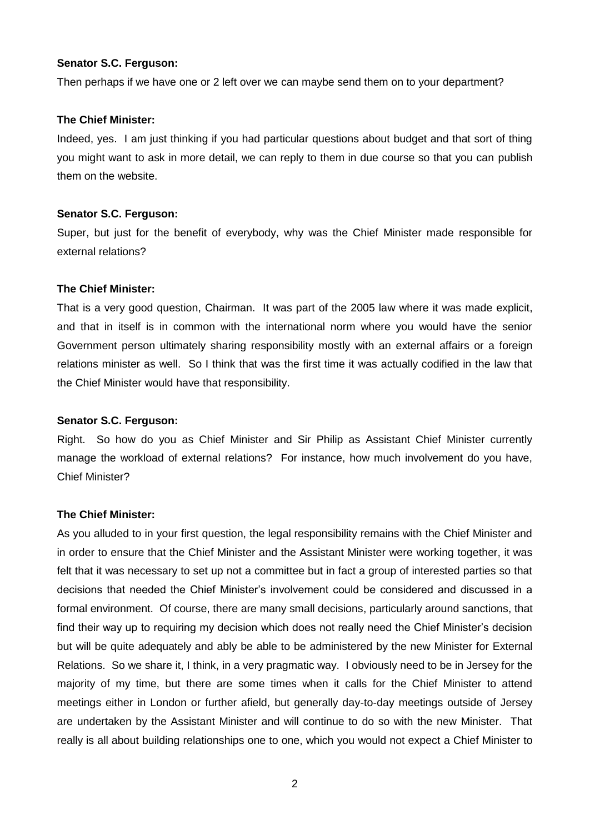### **Senator S.C. Ferguson:**

Then perhaps if we have one or 2 left over we can maybe send them on to your department?

#### **The Chief Minister:**

Indeed, yes. I am just thinking if you had particular questions about budget and that sort of thing you might want to ask in more detail, we can reply to them in due course so that you can publish them on the website.

#### **Senator S.C. Ferguson:**

Super, but just for the benefit of everybody, why was the Chief Minister made responsible for external relations?

#### **The Chief Minister:**

That is a very good question, Chairman. It was part of the 2005 law where it was made explicit, and that in itself is in common with the international norm where you would have the senior Government person ultimately sharing responsibility mostly with an external affairs or a foreign relations minister as well. So I think that was the first time it was actually codified in the law that the Chief Minister would have that responsibility.

#### **Senator S.C. Ferguson:**

Right. So how do you as Chief Minister and Sir Philip as Assistant Chief Minister currently manage the workload of external relations? For instance, how much involvement do you have, Chief Minister?

#### **The Chief Minister:**

As you alluded to in your first question, the legal responsibility remains with the Chief Minister and in order to ensure that the Chief Minister and the Assistant Minister were working together, it was felt that it was necessary to set up not a committee but in fact a group of interested parties so that decisions that needed the Chief Minister's involvement could be considered and discussed in a formal environment. Of course, there are many small decisions, particularly around sanctions, that find their way up to requiring my decision which does not really need the Chief Minister's decision but will be quite adequately and ably be able to be administered by the new Minister for External Relations. So we share it, I think, in a very pragmatic way. I obviously need to be in Jersey for the majority of my time, but there are some times when it calls for the Chief Minister to attend meetings either in London or further afield, but generally day-to-day meetings outside of Jersey are undertaken by the Assistant Minister and will continue to do so with the new Minister. That really is all about building relationships one to one, which you would not expect a Chief Minister to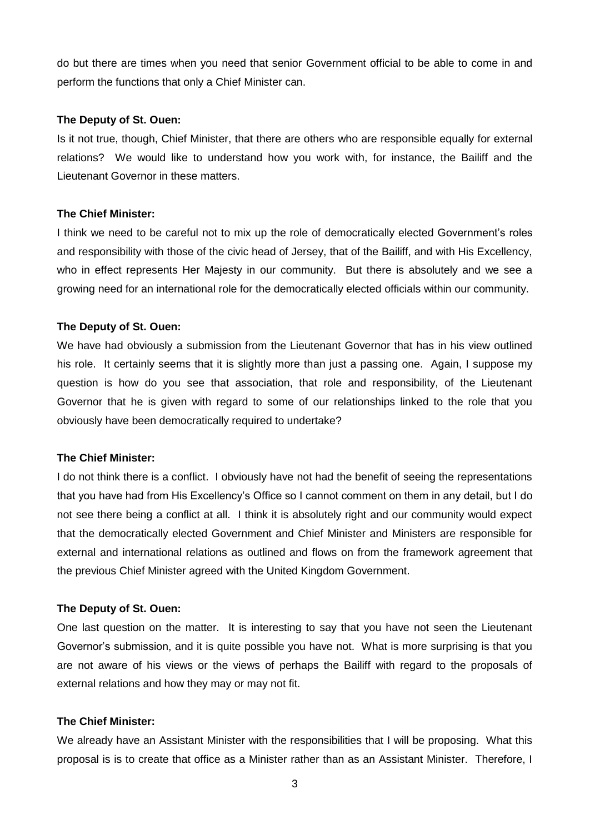do but there are times when you need that senior Government official to be able to come in and perform the functions that only a Chief Minister can.

#### **The Deputy of St. Ouen:**

Is it not true, though, Chief Minister, that there are others who are responsible equally for external relations? We would like to understand how you work with, for instance, the Bailiff and the Lieutenant Governor in these matters.

### **The Chief Minister:**

I think we need to be careful not to mix up the role of democratically elected Government's roles and responsibility with those of the civic head of Jersey, that of the Bailiff, and with His Excellency, who in effect represents Her Majesty in our community. But there is absolutely and we see a growing need for an international role for the democratically elected officials within our community.

#### **The Deputy of St. Ouen:**

We have had obviously a submission from the Lieutenant Governor that has in his view outlined his role. It certainly seems that it is slightly more than just a passing one. Again, I suppose my question is how do you see that association, that role and responsibility, of the Lieutenant Governor that he is given with regard to some of our relationships linked to the role that you obviously have been democratically required to undertake?

#### **The Chief Minister:**

I do not think there is a conflict. I obviously have not had the benefit of seeing the representations that you have had from His Excellency's Office so I cannot comment on them in any detail, but I do not see there being a conflict at all. I think it is absolutely right and our community would expect that the democratically elected Government and Chief Minister and Ministers are responsible for external and international relations as outlined and flows on from the framework agreement that the previous Chief Minister agreed with the United Kingdom Government.

#### **The Deputy of St. Ouen:**

One last question on the matter. It is interesting to say that you have not seen the Lieutenant Governor's submission, and it is quite possible you have not. What is more surprising is that you are not aware of his views or the views of perhaps the Bailiff with regard to the proposals of external relations and how they may or may not fit.

### **The Chief Minister:**

We already have an Assistant Minister with the responsibilities that I will be proposing. What this proposal is is to create that office as a Minister rather than as an Assistant Minister. Therefore, I

3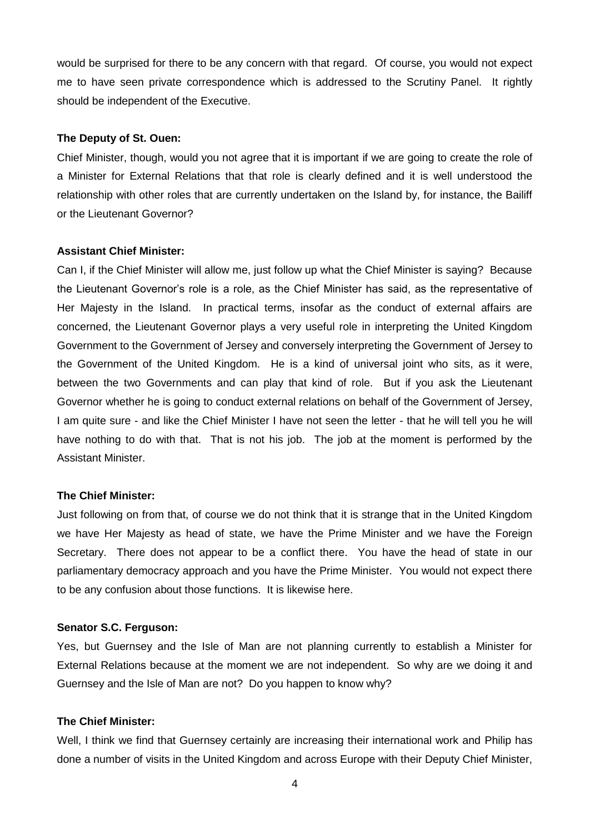would be surprised for there to be any concern with that regard. Of course, you would not expect me to have seen private correspondence which is addressed to the Scrutiny Panel. It rightly should be independent of the Executive.

#### **The Deputy of St. Ouen:**

Chief Minister, though, would you not agree that it is important if we are going to create the role of a Minister for External Relations that that role is clearly defined and it is well understood the relationship with other roles that are currently undertaken on the Island by, for instance, the Bailiff or the Lieutenant Governor?

#### **Assistant Chief Minister:**

Can I, if the Chief Minister will allow me, just follow up what the Chief Minister is saying? Because the Lieutenant Governor's role is a role, as the Chief Minister has said, as the representative of Her Majesty in the Island. In practical terms, insofar as the conduct of external affairs are concerned, the Lieutenant Governor plays a very useful role in interpreting the United Kingdom Government to the Government of Jersey and conversely interpreting the Government of Jersey to the Government of the United Kingdom. He is a kind of universal joint who sits, as it were, between the two Governments and can play that kind of role. But if you ask the Lieutenant Governor whether he is going to conduct external relations on behalf of the Government of Jersey, I am quite sure - and like the Chief Minister I have not seen the letter - that he will tell you he will have nothing to do with that. That is not his job. The job at the moment is performed by the Assistant Minister.

#### **The Chief Minister:**

Just following on from that, of course we do not think that it is strange that in the United Kingdom we have Her Majesty as head of state, we have the Prime Minister and we have the Foreign Secretary. There does not appear to be a conflict there. You have the head of state in our parliamentary democracy approach and you have the Prime Minister. You would not expect there to be any confusion about those functions. It is likewise here.

#### **Senator S.C. Ferguson:**

Yes, but Guernsey and the Isle of Man are not planning currently to establish a Minister for External Relations because at the moment we are not independent. So why are we doing it and Guernsey and the Isle of Man are not? Do you happen to know why?

### **The Chief Minister:**

Well, I think we find that Guernsey certainly are increasing their international work and Philip has done a number of visits in the United Kingdom and across Europe with their Deputy Chief Minister,

4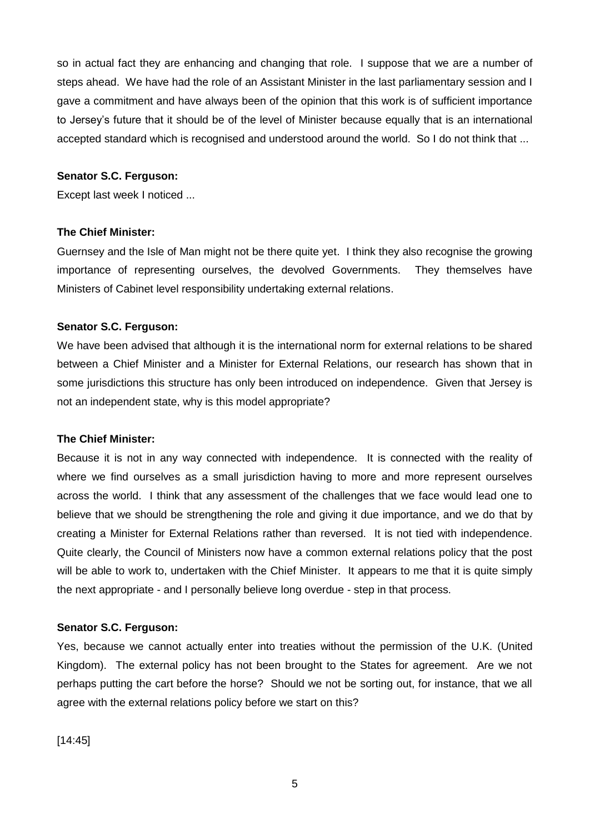so in actual fact they are enhancing and changing that role. I suppose that we are a number of steps ahead. We have had the role of an Assistant Minister in the last parliamentary session and I gave a commitment and have always been of the opinion that this work is of sufficient importance to Jersey's future that it should be of the level of Minister because equally that is an international accepted standard which is recognised and understood around the world. So I do not think that ...

### **Senator S.C. Ferguson:**

Except last week I noticed ...

### **The Chief Minister:**

Guernsey and the Isle of Man might not be there quite yet. I think they also recognise the growing importance of representing ourselves, the devolved Governments. They themselves have Ministers of Cabinet level responsibility undertaking external relations.

### **Senator S.C. Ferguson:**

We have been advised that although it is the international norm for external relations to be shared between a Chief Minister and a Minister for External Relations, our research has shown that in some jurisdictions this structure has only been introduced on independence. Given that Jersey is not an independent state, why is this model appropriate?

#### **The Chief Minister:**

Because it is not in any way connected with independence. It is connected with the reality of where we find ourselves as a small jurisdiction having to more and more represent ourselves across the world. I think that any assessment of the challenges that we face would lead one to believe that we should be strengthening the role and giving it due importance, and we do that by creating a Minister for External Relations rather than reversed. It is not tied with independence. Quite clearly, the Council of Ministers now have a common external relations policy that the post will be able to work to, undertaken with the Chief Minister. It appears to me that it is quite simply the next appropriate - and I personally believe long overdue - step in that process.

#### **Senator S.C. Ferguson:**

Yes, because we cannot actually enter into treaties without the permission of the U.K. (United Kingdom). The external policy has not been brought to the States for agreement. Are we not perhaps putting the cart before the horse? Should we not be sorting out, for instance, that we all agree with the external relations policy before we start on this?

[14:45]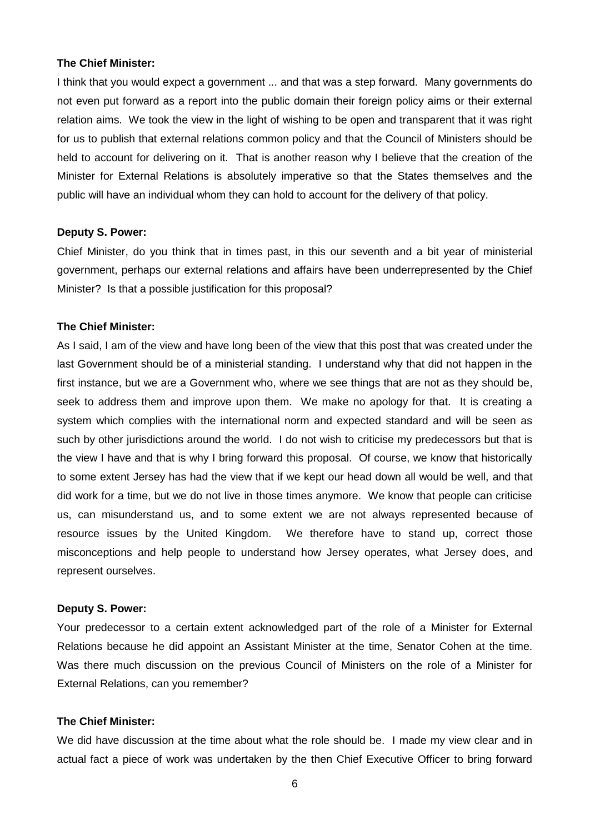#### **The Chief Minister:**

I think that you would expect a government ... and that was a step forward. Many governments do not even put forward as a report into the public domain their foreign policy aims or their external relation aims. We took the view in the light of wishing to be open and transparent that it was right for us to publish that external relations common policy and that the Council of Ministers should be held to account for delivering on it. That is another reason why I believe that the creation of the Minister for External Relations is absolutely imperative so that the States themselves and the public will have an individual whom they can hold to account for the delivery of that policy.

#### **Deputy S. Power:**

Chief Minister, do you think that in times past, in this our seventh and a bit year of ministerial government, perhaps our external relations and affairs have been underrepresented by the Chief Minister? Is that a possible justification for this proposal?

#### **The Chief Minister:**

As I said, I am of the view and have long been of the view that this post that was created under the last Government should be of a ministerial standing. I understand why that did not happen in the first instance, but we are a Government who, where we see things that are not as they should be, seek to address them and improve upon them. We make no apology for that. It is creating a system which complies with the international norm and expected standard and will be seen as such by other jurisdictions around the world. I do not wish to criticise my predecessors but that is the view I have and that is why I bring forward this proposal. Of course, we know that historically to some extent Jersey has had the view that if we kept our head down all would be well, and that did work for a time, but we do not live in those times anymore. We know that people can criticise us, can misunderstand us, and to some extent we are not always represented because of resource issues by the United Kingdom. We therefore have to stand up, correct those misconceptions and help people to understand how Jersey operates, what Jersey does, and represent ourselves.

#### **Deputy S. Power:**

Your predecessor to a certain extent acknowledged part of the role of a Minister for External Relations because he did appoint an Assistant Minister at the time, Senator Cohen at the time. Was there much discussion on the previous Council of Ministers on the role of a Minister for External Relations, can you remember?

### **The Chief Minister:**

We did have discussion at the time about what the role should be. I made my view clear and in actual fact a piece of work was undertaken by the then Chief Executive Officer to bring forward

6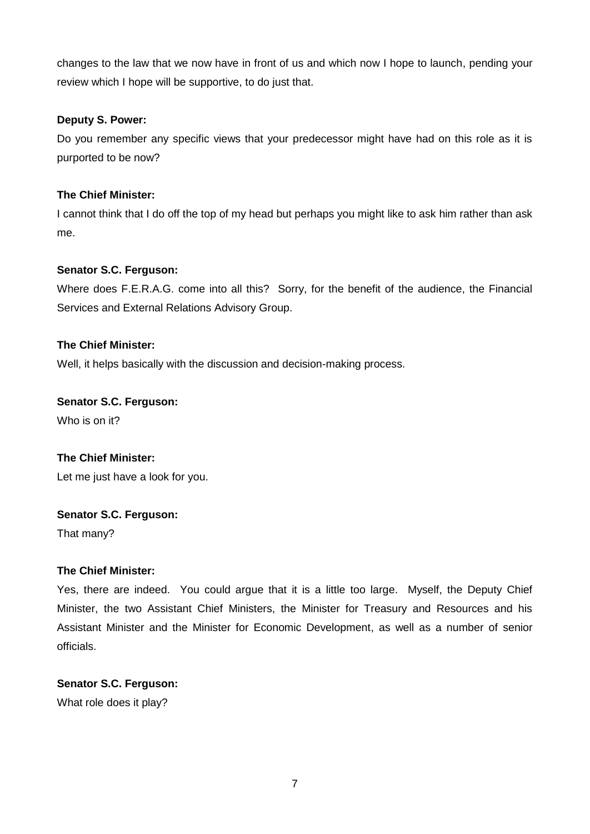changes to the law that we now have in front of us and which now I hope to launch, pending your review which I hope will be supportive, to do just that.

### **Deputy S. Power:**

Do you remember any specific views that your predecessor might have had on this role as it is purported to be now?

### **The Chief Minister:**

I cannot think that I do off the top of my head but perhaps you might like to ask him rather than ask me.

### **Senator S.C. Ferguson:**

Where does F.E.R.A.G. come into all this? Sorry, for the benefit of the audience, the Financial Services and External Relations Advisory Group.

### **The Chief Minister:**

Well, it helps basically with the discussion and decision-making process.

# **Senator S.C. Ferguson:**

Who is on it?

# **The Chief Minister:** Let me just have a look for you.

### **Senator S.C. Ferguson:**

That many?

### **The Chief Minister:**

Yes, there are indeed. You could argue that it is a little too large. Myself, the Deputy Chief Minister, the two Assistant Chief Ministers, the Minister for Treasury and Resources and his Assistant Minister and the Minister for Economic Development, as well as a number of senior officials.

# **Senator S.C. Ferguson:**

What role does it play?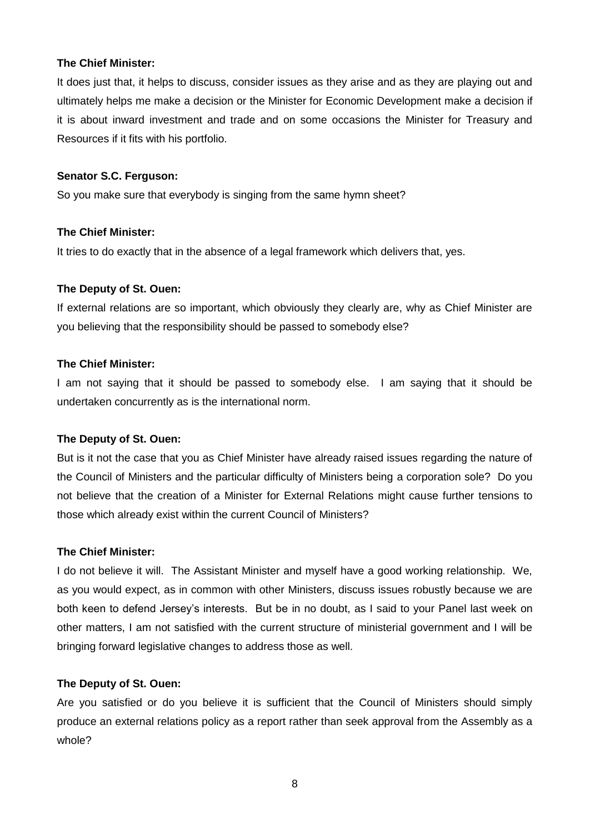### **The Chief Minister:**

It does just that, it helps to discuss, consider issues as they arise and as they are playing out and ultimately helps me make a decision or the Minister for Economic Development make a decision if it is about inward investment and trade and on some occasions the Minister for Treasury and Resources if it fits with his portfolio.

### **Senator S.C. Ferguson:**

So you make sure that everybody is singing from the same hymn sheet?

### **The Chief Minister:**

It tries to do exactly that in the absence of a legal framework which delivers that, yes.

### **The Deputy of St. Ouen:**

If external relations are so important, which obviously they clearly are, why as Chief Minister are you believing that the responsibility should be passed to somebody else?

### **The Chief Minister:**

I am not saying that it should be passed to somebody else. I am saying that it should be undertaken concurrently as is the international norm.

#### **The Deputy of St. Ouen:**

But is it not the case that you as Chief Minister have already raised issues regarding the nature of the Council of Ministers and the particular difficulty of Ministers being a corporation sole? Do you not believe that the creation of a Minister for External Relations might cause further tensions to those which already exist within the current Council of Ministers?

#### **The Chief Minister:**

I do not believe it will. The Assistant Minister and myself have a good working relationship. We, as you would expect, as in common with other Ministers, discuss issues robustly because we are both keen to defend Jersey's interests. But be in no doubt, as I said to your Panel last week on other matters, I am not satisfied with the current structure of ministerial government and I will be bringing forward legislative changes to address those as well.

#### **The Deputy of St. Ouen:**

Are you satisfied or do you believe it is sufficient that the Council of Ministers should simply produce an external relations policy as a report rather than seek approval from the Assembly as a whole?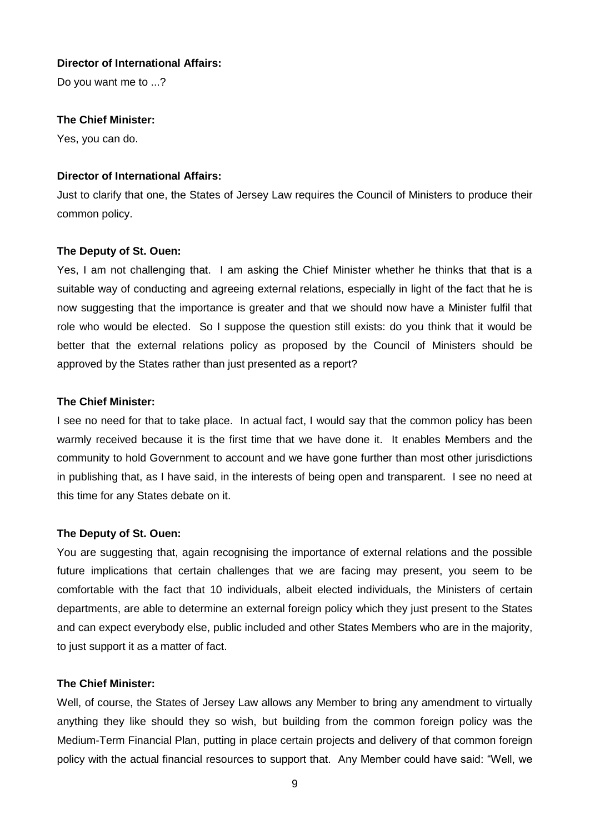### **Director of International Affairs:**

Do you want me to ...?

### **The Chief Minister:**

Yes, you can do.

#### **Director of International Affairs:**

Just to clarify that one, the States of Jersey Law requires the Council of Ministers to produce their common policy.

### **The Deputy of St. Ouen:**

Yes, I am not challenging that. I am asking the Chief Minister whether he thinks that that is a suitable way of conducting and agreeing external relations, especially in light of the fact that he is now suggesting that the importance is greater and that we should now have a Minister fulfil that role who would be elected. So I suppose the question still exists: do you think that it would be better that the external relations policy as proposed by the Council of Ministers should be approved by the States rather than just presented as a report?

### **The Chief Minister:**

I see no need for that to take place. In actual fact, I would say that the common policy has been warmly received because it is the first time that we have done it. It enables Members and the community to hold Government to account and we have gone further than most other jurisdictions in publishing that, as I have said, in the interests of being open and transparent. I see no need at this time for any States debate on it.

#### **The Deputy of St. Ouen:**

You are suggesting that, again recognising the importance of external relations and the possible future implications that certain challenges that we are facing may present, you seem to be comfortable with the fact that 10 individuals, albeit elected individuals, the Ministers of certain departments, are able to determine an external foreign policy which they just present to the States and can expect everybody else, public included and other States Members who are in the majority, to just support it as a matter of fact.

#### **The Chief Minister:**

Well, of course, the States of Jersey Law allows any Member to bring any amendment to virtually anything they like should they so wish, but building from the common foreign policy was the Medium-Term Financial Plan, putting in place certain projects and delivery of that common foreign policy with the actual financial resources to support that. Any Member could have said: "Well, we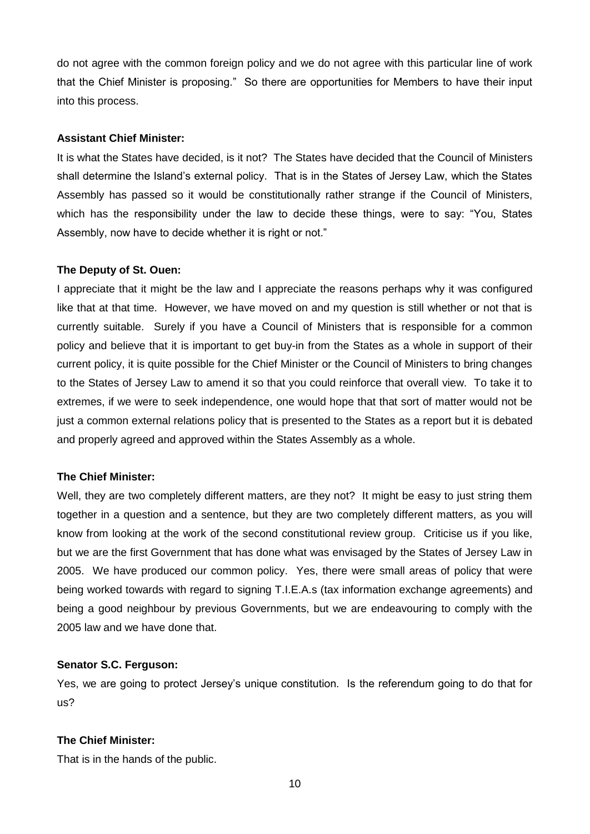do not agree with the common foreign policy and we do not agree with this particular line of work that the Chief Minister is proposing." So there are opportunities for Members to have their input into this process.

#### **Assistant Chief Minister:**

It is what the States have decided, is it not? The States have decided that the Council of Ministers shall determine the Island's external policy. That is in the States of Jersey Law, which the States Assembly has passed so it would be constitutionally rather strange if the Council of Ministers, which has the responsibility under the law to decide these things, were to say: "You, States Assembly, now have to decide whether it is right or not."

#### **The Deputy of St. Ouen:**

I appreciate that it might be the law and I appreciate the reasons perhaps why it was configured like that at that time. However, we have moved on and my question is still whether or not that is currently suitable. Surely if you have a Council of Ministers that is responsible for a common policy and believe that it is important to get buy-in from the States as a whole in support of their current policy, it is quite possible for the Chief Minister or the Council of Ministers to bring changes to the States of Jersey Law to amend it so that you could reinforce that overall view. To take it to extremes, if we were to seek independence, one would hope that that sort of matter would not be just a common external relations policy that is presented to the States as a report but it is debated and properly agreed and approved within the States Assembly as a whole.

#### **The Chief Minister:**

Well, they are two completely different matters, are they not? It might be easy to just string them together in a question and a sentence, but they are two completely different matters, as you will know from looking at the work of the second constitutional review group. Criticise us if you like, but we are the first Government that has done what was envisaged by the States of Jersey Law in 2005. We have produced our common policy. Yes, there were small areas of policy that were being worked towards with regard to signing T.I.E.A.s (tax information exchange agreements) and being a good neighbour by previous Governments, but we are endeavouring to comply with the 2005 law and we have done that.

#### **Senator S.C. Ferguson:**

Yes, we are going to protect Jersey's unique constitution. Is the referendum going to do that for us?

#### **The Chief Minister:**

That is in the hands of the public.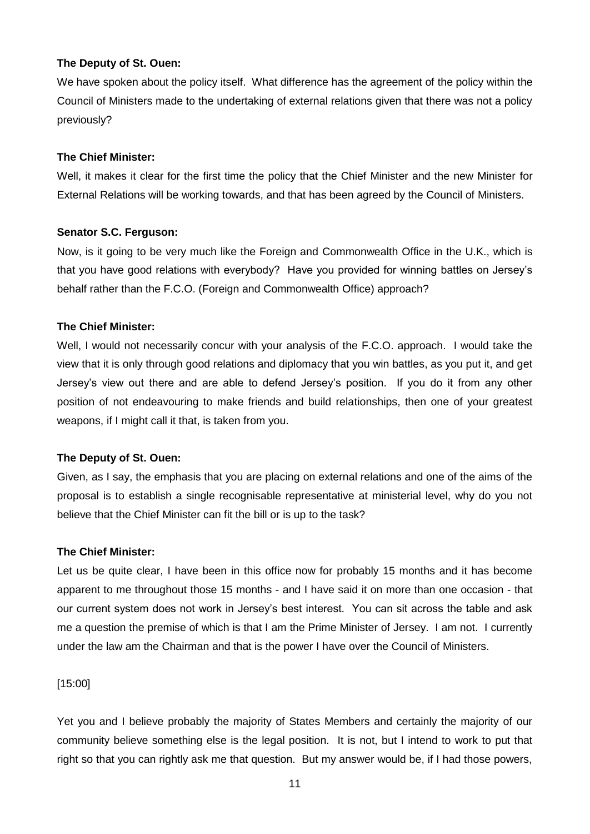### **The Deputy of St. Ouen:**

We have spoken about the policy itself. What difference has the agreement of the policy within the Council of Ministers made to the undertaking of external relations given that there was not a policy previously?

### **The Chief Minister:**

Well, it makes it clear for the first time the policy that the Chief Minister and the new Minister for External Relations will be working towards, and that has been agreed by the Council of Ministers.

### **Senator S.C. Ferguson:**

Now, is it going to be very much like the Foreign and Commonwealth Office in the U.K., which is that you have good relations with everybody? Have you provided for winning battles on Jersey's behalf rather than the F.C.O. (Foreign and Commonwealth Office) approach?

### **The Chief Minister:**

Well, I would not necessarily concur with your analysis of the F.C.O. approach. I would take the view that it is only through good relations and diplomacy that you win battles, as you put it, and get Jersey's view out there and are able to defend Jersey's position. If you do it from any other position of not endeavouring to make friends and build relationships, then one of your greatest weapons, if I might call it that, is taken from you.

#### **The Deputy of St. Ouen:**

Given, as I say, the emphasis that you are placing on external relations and one of the aims of the proposal is to establish a single recognisable representative at ministerial level, why do you not believe that the Chief Minister can fit the bill or is up to the task?

#### **The Chief Minister:**

Let us be quite clear, I have been in this office now for probably 15 months and it has become apparent to me throughout those 15 months - and I have said it on more than one occasion - that our current system does not work in Jersey's best interest. You can sit across the table and ask me a question the premise of which is that I am the Prime Minister of Jersey. I am not. I currently under the law am the Chairman and that is the power I have over the Council of Ministers.

[15:00]

Yet you and I believe probably the majority of States Members and certainly the majority of our community believe something else is the legal position. It is not, but I intend to work to put that right so that you can rightly ask me that question. But my answer would be, if I had those powers,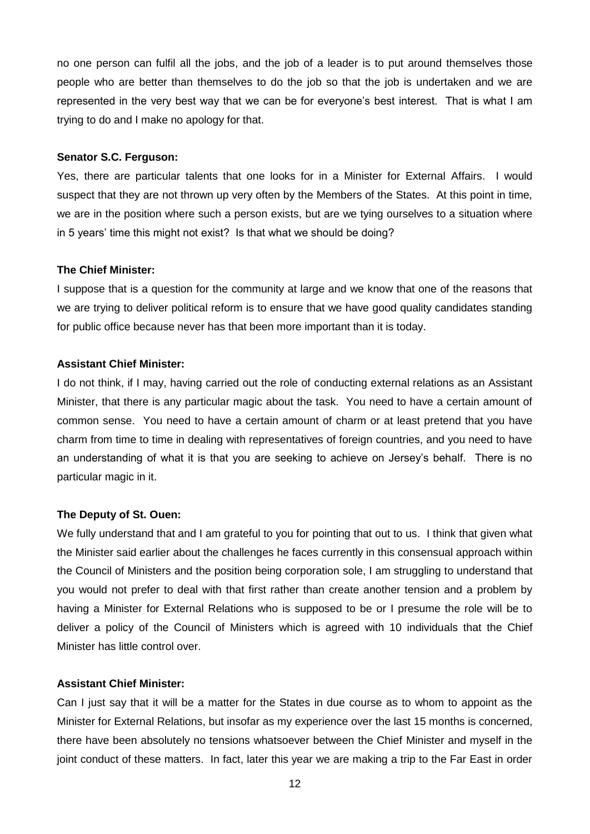no one person can fulfil all the jobs, and the job of a leader is to put around themselves those people who are better than themselves to do the job so that the job is undertaken and we are represented in the very best way that we can be for everyone's best interest. That is what I am trying to do and I make no apology for that.

### **Senator S.C. Ferguson:**

Yes, there are particular talents that one looks for in a Minister for External Affairs. I would suspect that they are not thrown up very often by the Members of the States. At this point in time, we are in the position where such a person exists, but are we tying ourselves to a situation where in 5 years' time this might not exist? Is that what we should be doing?

#### **The Chief Minister:**

I suppose that is a question for the community at large and we know that one of the reasons that we are trying to deliver political reform is to ensure that we have good quality candidates standing for public office because never has that been more important than it is today.

#### **Assistant Chief Minister:**

I do not think, if I may, having carried out the role of conducting external relations as an Assistant Minister, that there is any particular magic about the task. You need to have a certain amount of common sense. You need to have a certain amount of charm or at least pretend that you have charm from time to time in dealing with representatives of foreign countries, and you need to have an understanding of what it is that you are seeking to achieve on Jersey's behalf. There is no particular magic in it.

#### **The Deputy of St. Ouen:**

We fully understand that and I am grateful to you for pointing that out to us. I think that given what the Minister said earlier about the challenges he faces currently in this consensual approach within the Council of Ministers and the position being corporation sole, I am struggling to understand that you would not prefer to deal with that first rather than create another tension and a problem by having a Minister for External Relations who is supposed to be or I presume the role will be to deliver a policy of the Council of Ministers which is agreed with 10 individuals that the Chief Minister has little control over.

#### **Assistant Chief Minister:**

Can I just say that it will be a matter for the States in due course as to whom to appoint as the Minister for External Relations, but insofar as my experience over the last 15 months is concerned, there have been absolutely no tensions whatsoever between the Chief Minister and myself in the joint conduct of these matters. In fact, later this year we are making a trip to the Far East in order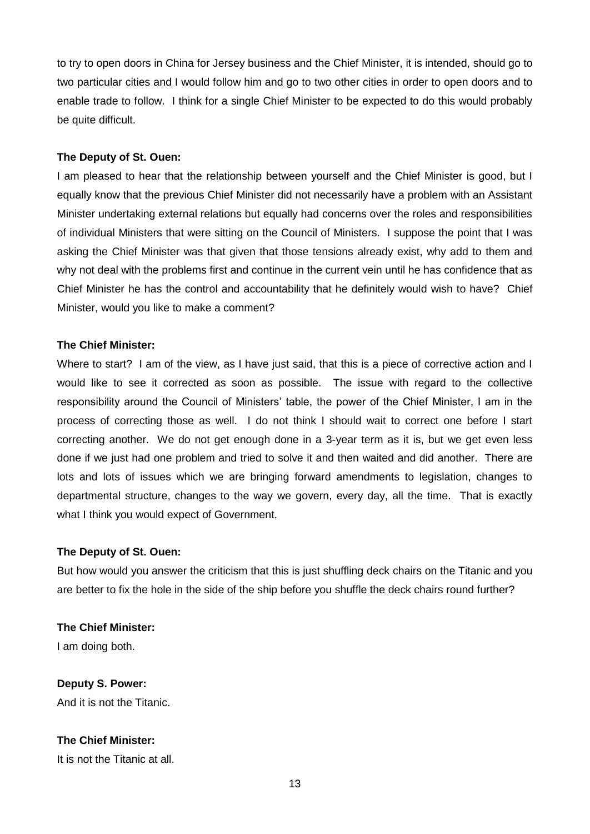to try to open doors in China for Jersey business and the Chief Minister, it is intended, should go to two particular cities and I would follow him and go to two other cities in order to open doors and to enable trade to follow. I think for a single Chief Minister to be expected to do this would probably be quite difficult.

### **The Deputy of St. Ouen:**

I am pleased to hear that the relationship between yourself and the Chief Minister is good, but I equally know that the previous Chief Minister did not necessarily have a problem with an Assistant Minister undertaking external relations but equally had concerns over the roles and responsibilities of individual Ministers that were sitting on the Council of Ministers. I suppose the point that I was asking the Chief Minister was that given that those tensions already exist, why add to them and why not deal with the problems first and continue in the current vein until he has confidence that as Chief Minister he has the control and accountability that he definitely would wish to have? Chief Minister, would you like to make a comment?

### **The Chief Minister:**

Where to start? I am of the view, as I have just said, that this is a piece of corrective action and I would like to see it corrected as soon as possible. The issue with regard to the collective responsibility around the Council of Ministers' table, the power of the Chief Minister, I am in the process of correcting those as well. I do not think I should wait to correct one before I start correcting another. We do not get enough done in a 3-year term as it is, but we get even less done if we just had one problem and tried to solve it and then waited and did another. There are lots and lots of issues which we are bringing forward amendments to legislation, changes to departmental structure, changes to the way we govern, every day, all the time. That is exactly what I think you would expect of Government.

### **The Deputy of St. Ouen:**

But how would you answer the criticism that this is just shuffling deck chairs on the Titanic and you are better to fix the hole in the side of the ship before you shuffle the deck chairs round further?

**The Chief Minister:** I am doing both.

**Deputy S. Power:** And it is not the Titanic.

### **The Chief Minister:**

It is not the Titanic at all.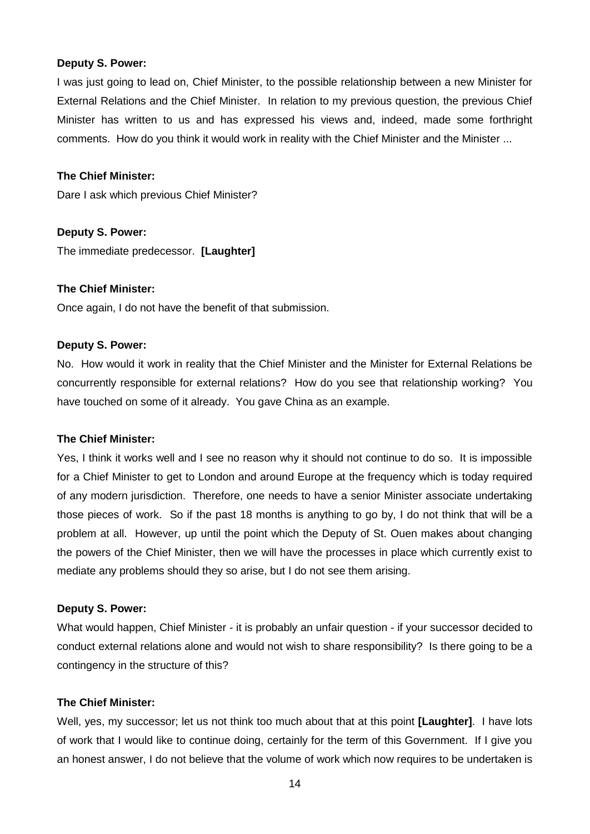#### **Deputy S. Power:**

I was just going to lead on, Chief Minister, to the possible relationship between a new Minister for External Relations and the Chief Minister. In relation to my previous question, the previous Chief Minister has written to us and has expressed his views and, indeed, made some forthright comments. How do you think it would work in reality with the Chief Minister and the Minister ...

#### **The Chief Minister:**

Dare I ask which previous Chief Minister?

**Deputy S. Power:** The immediate predecessor. **[Laughter]**

#### **The Chief Minister:**

Once again, I do not have the benefit of that submission.

### **Deputy S. Power:**

No. How would it work in reality that the Chief Minister and the Minister for External Relations be concurrently responsible for external relations? How do you see that relationship working? You have touched on some of it already. You gave China as an example.

### **The Chief Minister:**

Yes, I think it works well and I see no reason why it should not continue to do so. It is impossible for a Chief Minister to get to London and around Europe at the frequency which is today required of any modern jurisdiction. Therefore, one needs to have a senior Minister associate undertaking those pieces of work. So if the past 18 months is anything to go by, I do not think that will be a problem at all. However, up until the point which the Deputy of St. Ouen makes about changing the powers of the Chief Minister, then we will have the processes in place which currently exist to mediate any problems should they so arise, but I do not see them arising.

### **Deputy S. Power:**

What would happen, Chief Minister - it is probably an unfair question - if your successor decided to conduct external relations alone and would not wish to share responsibility? Is there going to be a contingency in the structure of this?

### **The Chief Minister:**

Well, yes, my successor; let us not think too much about that at this point **[Laughter]**. I have lots of work that I would like to continue doing, certainly for the term of this Government. If I give you an honest answer, I do not believe that the volume of work which now requires to be undertaken is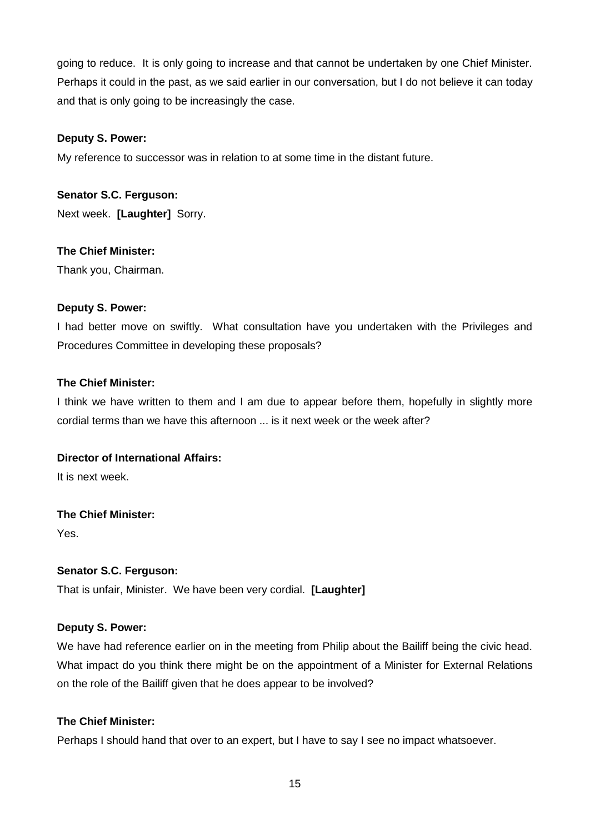going to reduce. It is only going to increase and that cannot be undertaken by one Chief Minister. Perhaps it could in the past, as we said earlier in our conversation, but I do not believe it can today and that is only going to be increasingly the case.

### **Deputy S. Power:**

My reference to successor was in relation to at some time in the distant future.

**Senator S.C. Ferguson:** Next week. **[Laughter]** Sorry.

### **The Chief Minister:**

Thank you, Chairman.

### **Deputy S. Power:**

I had better move on swiftly. What consultation have you undertaken with the Privileges and Procedures Committee in developing these proposals?

### **The Chief Minister:**

I think we have written to them and I am due to appear before them, hopefully in slightly more cordial terms than we have this afternoon ... is it next week or the week after?

### **Director of International Affairs:**

It is next week.

### **The Chief Minister:**

Yes.

### **Senator S.C. Ferguson:**

That is unfair, Minister. We have been very cordial. **[Laughter]**

### **Deputy S. Power:**

We have had reference earlier on in the meeting from Philip about the Bailiff being the civic head. What impact do you think there might be on the appointment of a Minister for External Relations on the role of the Bailiff given that he does appear to be involved?

### **The Chief Minister:**

Perhaps I should hand that over to an expert, but I have to say I see no impact whatsoever.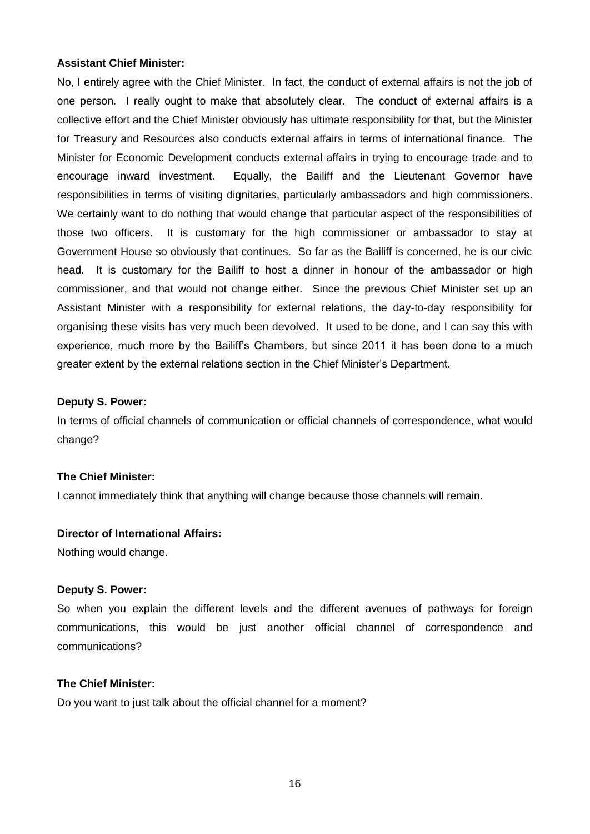### **Assistant Chief Minister:**

No, I entirely agree with the Chief Minister. In fact, the conduct of external affairs is not the job of one person. I really ought to make that absolutely clear. The conduct of external affairs is a collective effort and the Chief Minister obviously has ultimate responsibility for that, but the Minister for Treasury and Resources also conducts external affairs in terms of international finance. The Minister for Economic Development conducts external affairs in trying to encourage trade and to encourage inward investment. Equally, the Bailiff and the Lieutenant Governor have responsibilities in terms of visiting dignitaries, particularly ambassadors and high commissioners. We certainly want to do nothing that would change that particular aspect of the responsibilities of those two officers. It is customary for the high commissioner or ambassador to stay at Government House so obviously that continues. So far as the Bailiff is concerned, he is our civic head. It is customary for the Bailiff to host a dinner in honour of the ambassador or high commissioner, and that would not change either. Since the previous Chief Minister set up an Assistant Minister with a responsibility for external relations, the day-to-day responsibility for organising these visits has very much been devolved. It used to be done, and I can say this with experience, much more by the Bailiff's Chambers, but since 2011 it has been done to a much greater extent by the external relations section in the Chief Minister's Department.

#### **Deputy S. Power:**

In terms of official channels of communication or official channels of correspondence, what would change?

### **The Chief Minister:**

I cannot immediately think that anything will change because those channels will remain.

#### **Director of International Affairs:**

Nothing would change.

#### **Deputy S. Power:**

So when you explain the different levels and the different avenues of pathways for foreign communications, this would be just another official channel of correspondence and communications?

#### **The Chief Minister:**

Do you want to just talk about the official channel for a moment?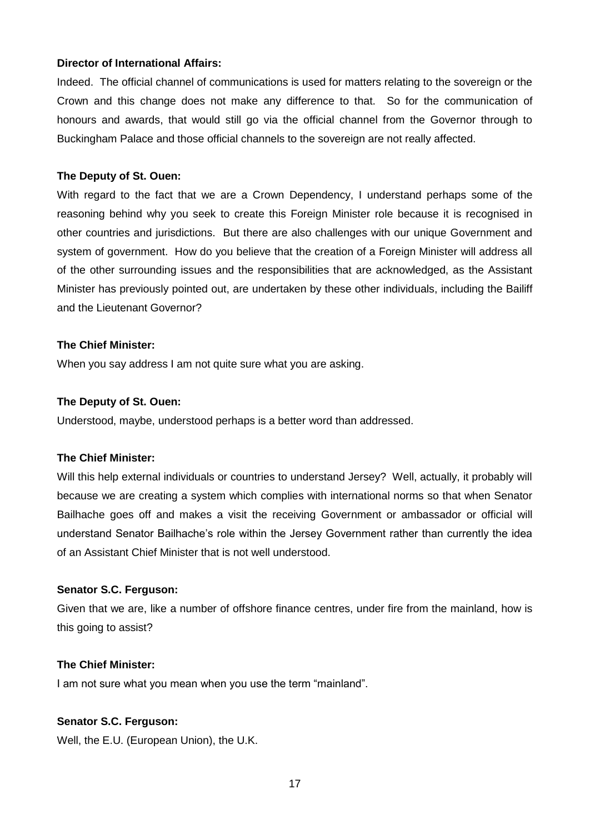### **Director of International Affairs:**

Indeed. The official channel of communications is used for matters relating to the sovereign or the Crown and this change does not make any difference to that. So for the communication of honours and awards, that would still go via the official channel from the Governor through to Buckingham Palace and those official channels to the sovereign are not really affected.

### **The Deputy of St. Ouen:**

With regard to the fact that we are a Crown Dependency, I understand perhaps some of the reasoning behind why you seek to create this Foreign Minister role because it is recognised in other countries and jurisdictions. But there are also challenges with our unique Government and system of government. How do you believe that the creation of a Foreign Minister will address all of the other surrounding issues and the responsibilities that are acknowledged, as the Assistant Minister has previously pointed out, are undertaken by these other individuals, including the Bailiff and the Lieutenant Governor?

### **The Chief Minister:**

When you say address I am not quite sure what you are asking.

### **The Deputy of St. Ouen:**

Understood, maybe, understood perhaps is a better word than addressed.

#### **The Chief Minister:**

Will this help external individuals or countries to understand Jersey? Well, actually, it probably will because we are creating a system which complies with international norms so that when Senator Bailhache goes off and makes a visit the receiving Government or ambassador or official will understand Senator Bailhache's role within the Jersey Government rather than currently the idea of an Assistant Chief Minister that is not well understood.

### **Senator S.C. Ferguson:**

Given that we are, like a number of offshore finance centres, under fire from the mainland, how is this going to assist?

### **The Chief Minister:**

I am not sure what you mean when you use the term "mainland".

#### **Senator S.C. Ferguson:**

Well, the E.U. (European Union), the U.K.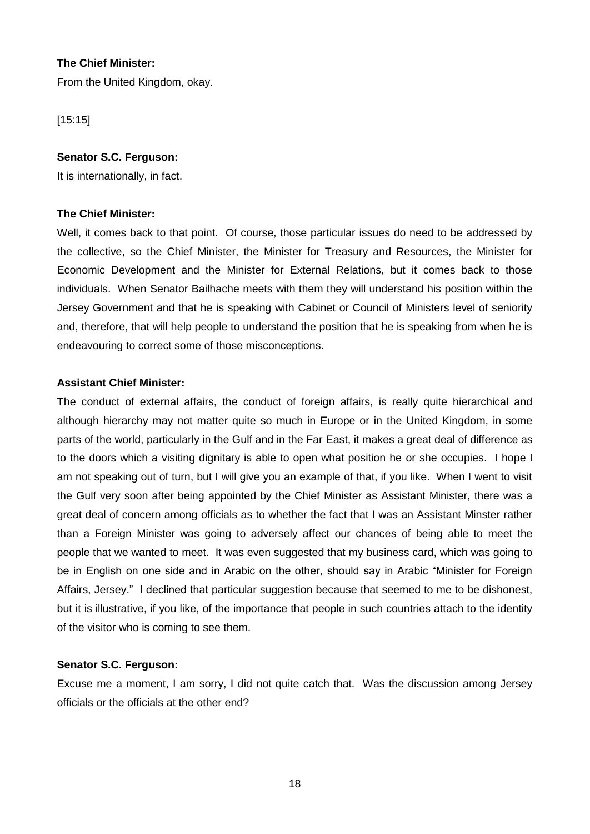### **The Chief Minister:**

From the United Kingdom, okay.

[15:15]

### **Senator S.C. Ferguson:**

It is internationally, in fact.

### **The Chief Minister:**

Well, it comes back to that point. Of course, those particular issues do need to be addressed by the collective, so the Chief Minister, the Minister for Treasury and Resources, the Minister for Economic Development and the Minister for External Relations, but it comes back to those individuals. When Senator Bailhache meets with them they will understand his position within the Jersey Government and that he is speaking with Cabinet or Council of Ministers level of seniority and, therefore, that will help people to understand the position that he is speaking from when he is endeavouring to correct some of those misconceptions.

### **Assistant Chief Minister:**

The conduct of external affairs, the conduct of foreign affairs, is really quite hierarchical and although hierarchy may not matter quite so much in Europe or in the United Kingdom, in some parts of the world, particularly in the Gulf and in the Far East, it makes a great deal of difference as to the doors which a visiting dignitary is able to open what position he or she occupies. I hope I am not speaking out of turn, but I will give you an example of that, if you like. When I went to visit the Gulf very soon after being appointed by the Chief Minister as Assistant Minister, there was a great deal of concern among officials as to whether the fact that I was an Assistant Minster rather than a Foreign Minister was going to adversely affect our chances of being able to meet the people that we wanted to meet. It was even suggested that my business card, which was going to be in English on one side and in Arabic on the other, should say in Arabic "Minister for Foreign Affairs, Jersey." I declined that particular suggestion because that seemed to me to be dishonest, but it is illustrative, if you like, of the importance that people in such countries attach to the identity of the visitor who is coming to see them.

### **Senator S.C. Ferguson:**

Excuse me a moment, I am sorry, I did not quite catch that. Was the discussion among Jersey officials or the officials at the other end?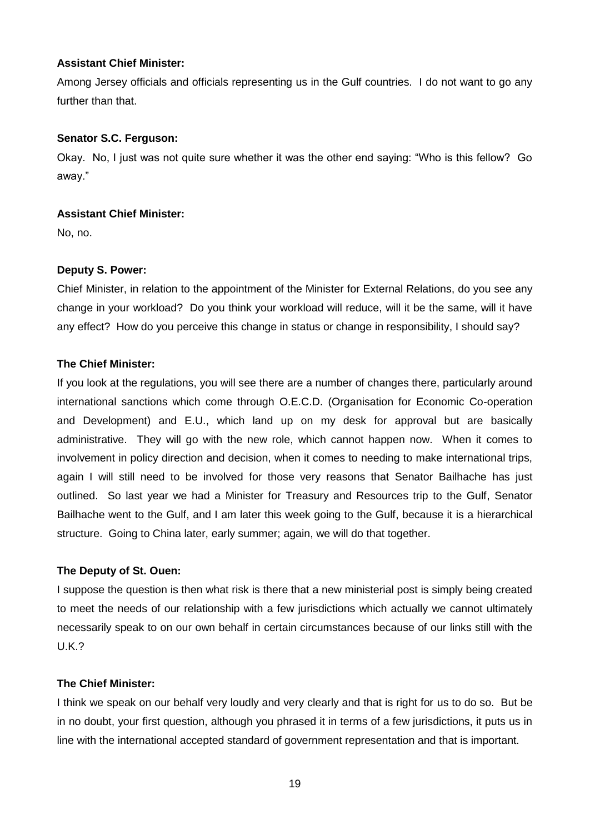### **Assistant Chief Minister:**

Among Jersey officials and officials representing us in the Gulf countries. I do not want to go any further than that.

### **Senator S.C. Ferguson:**

Okay. No, I just was not quite sure whether it was the other end saying: "Who is this fellow? Go away."

### **Assistant Chief Minister:**

No, no.

### **Deputy S. Power:**

Chief Minister, in relation to the appointment of the Minister for External Relations, do you see any change in your workload? Do you think your workload will reduce, will it be the same, will it have any effect? How do you perceive this change in status or change in responsibility, I should say?

### **The Chief Minister:**

If you look at the regulations, you will see there are a number of changes there, particularly around international sanctions which come through O.E.C.D. (Organisation for Economic Co-operation and Development) and E.U., which land up on my desk for approval but are basically administrative. They will go with the new role, which cannot happen now. When it comes to involvement in policy direction and decision, when it comes to needing to make international trips, again I will still need to be involved for those very reasons that Senator Bailhache has just outlined. So last year we had a Minister for Treasury and Resources trip to the Gulf, Senator Bailhache went to the Gulf, and I am later this week going to the Gulf, because it is a hierarchical structure. Going to China later, early summer; again, we will do that together.

### **The Deputy of St. Ouen:**

I suppose the question is then what risk is there that a new ministerial post is simply being created to meet the needs of our relationship with a few jurisdictions which actually we cannot ultimately necessarily speak to on our own behalf in certain circumstances because of our links still with the U.K.?

### **The Chief Minister:**

I think we speak on our behalf very loudly and very clearly and that is right for us to do so. But be in no doubt, your first question, although you phrased it in terms of a few jurisdictions, it puts us in line with the international accepted standard of government representation and that is important.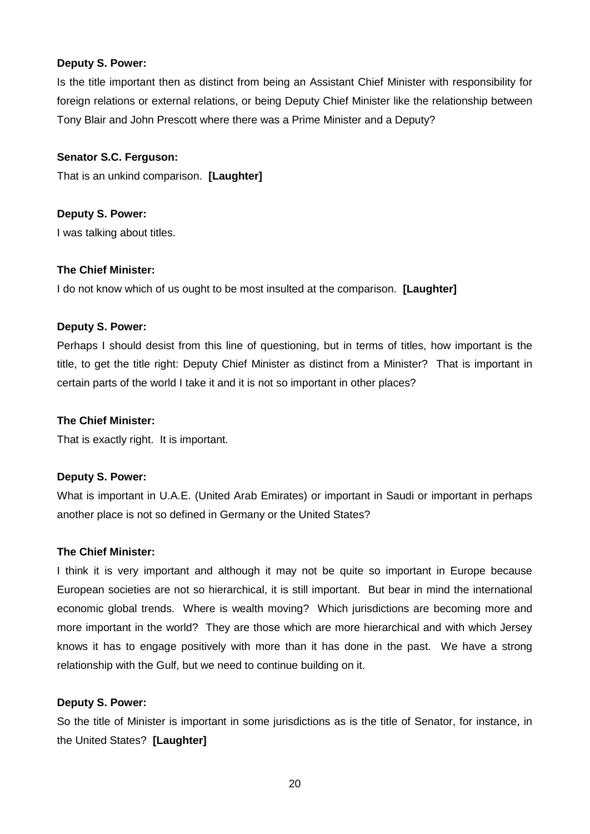### **Deputy S. Power:**

Is the title important then as distinct from being an Assistant Chief Minister with responsibility for foreign relations or external relations, or being Deputy Chief Minister like the relationship between Tony Blair and John Prescott where there was a Prime Minister and a Deputy?

### **Senator S.C. Ferguson:**

That is an unkind comparison. **[Laughter]**

### **Deputy S. Power:**

I was talking about titles.

### **The Chief Minister:**

I do not know which of us ought to be most insulted at the comparison. **[Laughter]**

#### **Deputy S. Power:**

Perhaps I should desist from this line of questioning, but in terms of titles, how important is the title, to get the title right: Deputy Chief Minister as distinct from a Minister? That is important in certain parts of the world I take it and it is not so important in other places?

### **The Chief Minister:**

That is exactly right. It is important.

### **Deputy S. Power:**

What is important in U.A.E. (United Arab Emirates) or important in Saudi or important in perhaps another place is not so defined in Germany or the United States?

#### **The Chief Minister:**

I think it is very important and although it may not be quite so important in Europe because European societies are not so hierarchical, it is still important. But bear in mind the international economic global trends. Where is wealth moving? Which jurisdictions are becoming more and more important in the world? They are those which are more hierarchical and with which Jersey knows it has to engage positively with more than it has done in the past. We have a strong relationship with the Gulf, but we need to continue building on it.

### **Deputy S. Power:**

So the title of Minister is important in some jurisdictions as is the title of Senator, for instance, in the United States? **[Laughter]**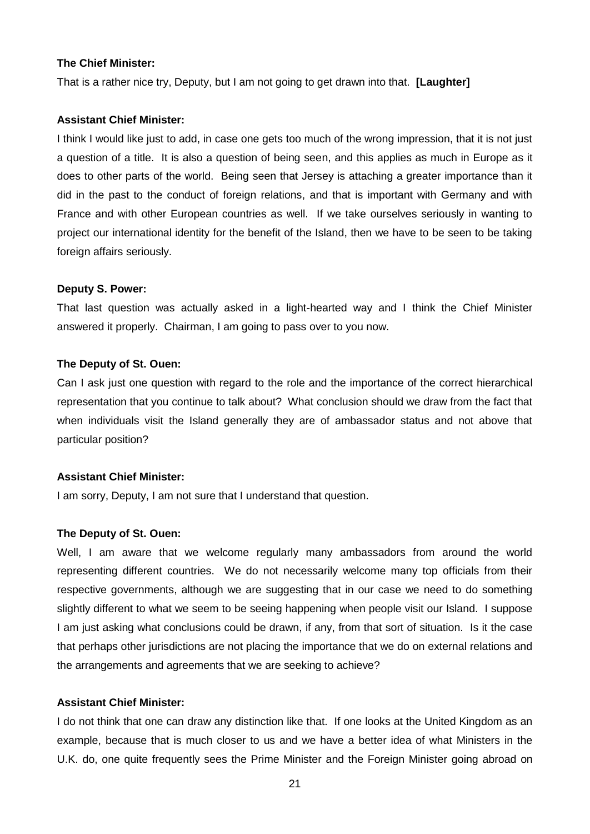#### **The Chief Minister:**

That is a rather nice try, Deputy, but I am not going to get drawn into that. **[Laughter]**

#### **Assistant Chief Minister:**

I think I would like just to add, in case one gets too much of the wrong impression, that it is not just a question of a title. It is also a question of being seen, and this applies as much in Europe as it does to other parts of the world. Being seen that Jersey is attaching a greater importance than it did in the past to the conduct of foreign relations, and that is important with Germany and with France and with other European countries as well. If we take ourselves seriously in wanting to project our international identity for the benefit of the Island, then we have to be seen to be taking foreign affairs seriously.

#### **Deputy S. Power:**

That last question was actually asked in a light-hearted way and I think the Chief Minister answered it properly. Chairman, I am going to pass over to you now.

#### **The Deputy of St. Ouen:**

Can I ask just one question with regard to the role and the importance of the correct hierarchical representation that you continue to talk about? What conclusion should we draw from the fact that when individuals visit the Island generally they are of ambassador status and not above that particular position?

#### **Assistant Chief Minister:**

I am sorry, Deputy, I am not sure that I understand that question.

#### **The Deputy of St. Ouen:**

Well, I am aware that we welcome regularly many ambassadors from around the world representing different countries. We do not necessarily welcome many top officials from their respective governments, although we are suggesting that in our case we need to do something slightly different to what we seem to be seeing happening when people visit our Island. I suppose I am just asking what conclusions could be drawn, if any, from that sort of situation. Is it the case that perhaps other jurisdictions are not placing the importance that we do on external relations and the arrangements and agreements that we are seeking to achieve?

### **Assistant Chief Minister:**

I do not think that one can draw any distinction like that. If one looks at the United Kingdom as an example, because that is much closer to us and we have a better idea of what Ministers in the U.K. do, one quite frequently sees the Prime Minister and the Foreign Minister going abroad on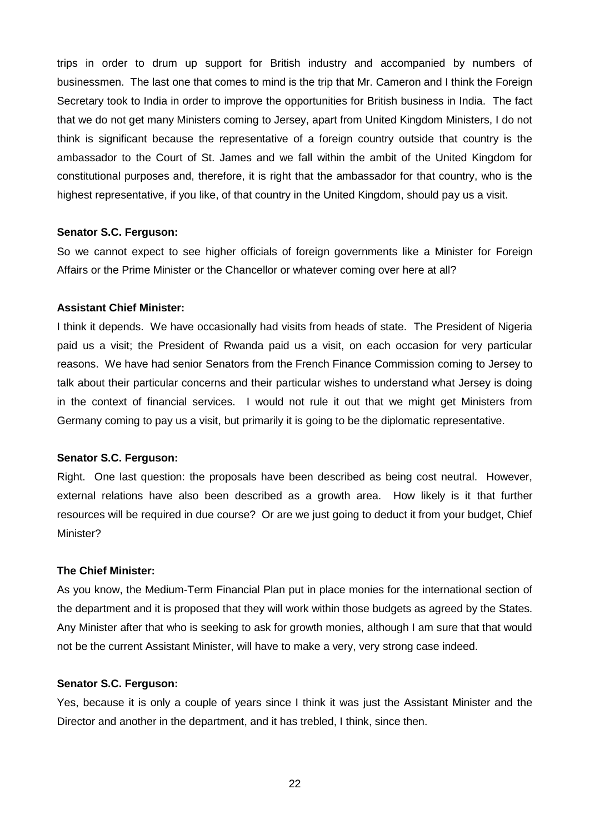trips in order to drum up support for British industry and accompanied by numbers of businessmen. The last one that comes to mind is the trip that Mr. Cameron and I think the Foreign Secretary took to India in order to improve the opportunities for British business in India. The fact that we do not get many Ministers coming to Jersey, apart from United Kingdom Ministers, I do not think is significant because the representative of a foreign country outside that country is the ambassador to the Court of St. James and we fall within the ambit of the United Kingdom for constitutional purposes and, therefore, it is right that the ambassador for that country, who is the highest representative, if you like, of that country in the United Kingdom, should pay us a visit.

### **Senator S.C. Ferguson:**

So we cannot expect to see higher officials of foreign governments like a Minister for Foreign Affairs or the Prime Minister or the Chancellor or whatever coming over here at all?

#### **Assistant Chief Minister:**

I think it depends. We have occasionally had visits from heads of state. The President of Nigeria paid us a visit; the President of Rwanda paid us a visit, on each occasion for very particular reasons. We have had senior Senators from the French Finance Commission coming to Jersey to talk about their particular concerns and their particular wishes to understand what Jersey is doing in the context of financial services. I would not rule it out that we might get Ministers from Germany coming to pay us a visit, but primarily it is going to be the diplomatic representative.

#### **Senator S.C. Ferguson:**

Right. One last question: the proposals have been described as being cost neutral. However, external relations have also been described as a growth area. How likely is it that further resources will be required in due course? Or are we just going to deduct it from your budget, Chief Minister?

#### **The Chief Minister:**

As you know, the Medium-Term Financial Plan put in place monies for the international section of the department and it is proposed that they will work within those budgets as agreed by the States. Any Minister after that who is seeking to ask for growth monies, although I am sure that that would not be the current Assistant Minister, will have to make a very, very strong case indeed.

#### **Senator S.C. Ferguson:**

Yes, because it is only a couple of years since I think it was just the Assistant Minister and the Director and another in the department, and it has trebled, I think, since then.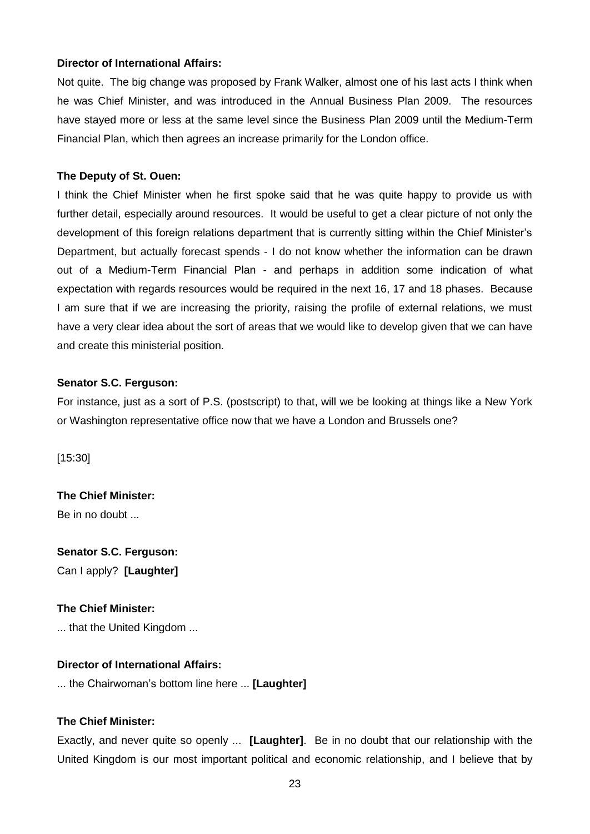### **Director of International Affairs:**

Not quite. The big change was proposed by Frank Walker, almost one of his last acts I think when he was Chief Minister, and was introduced in the Annual Business Plan 2009. The resources have stayed more or less at the same level since the Business Plan 2009 until the Medium-Term Financial Plan, which then agrees an increase primarily for the London office.

### **The Deputy of St. Ouen:**

I think the Chief Minister when he first spoke said that he was quite happy to provide us with further detail, especially around resources. It would be useful to get a clear picture of not only the development of this foreign relations department that is currently sitting within the Chief Minister's Department, but actually forecast spends - I do not know whether the information can be drawn out of a Medium-Term Financial Plan - and perhaps in addition some indication of what expectation with regards resources would be required in the next 16, 17 and 18 phases. Because I am sure that if we are increasing the priority, raising the profile of external relations, we must have a very clear idea about the sort of areas that we would like to develop given that we can have and create this ministerial position.

### **Senator S.C. Ferguson:**

For instance, just as a sort of P.S. (postscript) to that, will we be looking at things like a New York or Washington representative office now that we have a London and Brussels one?

[15:30]

**The Chief Minister:** Be in no doubt ...

**Senator S.C. Ferguson:** Can I apply? **[Laughter]**

### **The Chief Minister:**

... that the United Kingdom ...

### **Director of International Affairs:**

... the Chairwoman's bottom line here ... **[Laughter]**

### **The Chief Minister:**

Exactly, and never quite so openly ... **[Laughter]**. Be in no doubt that our relationship with the United Kingdom is our most important political and economic relationship, and I believe that by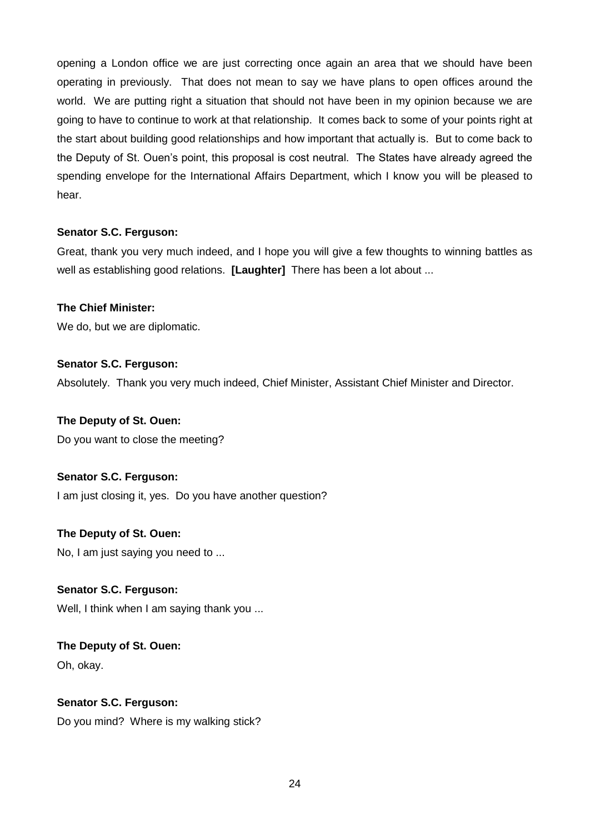opening a London office we are just correcting once again an area that we should have been operating in previously. That does not mean to say we have plans to open offices around the world. We are putting right a situation that should not have been in my opinion because we are going to have to continue to work at that relationship. It comes back to some of your points right at the start about building good relationships and how important that actually is. But to come back to the Deputy of St. Ouen's point, this proposal is cost neutral. The States have already agreed the spending envelope for the International Affairs Department, which I know you will be pleased to hear.

### **Senator S.C. Ferguson:**

Great, thank you very much indeed, and I hope you will give a few thoughts to winning battles as well as establishing good relations. **[Laughter]** There has been a lot about ...

### **The Chief Minister:**

We do, but we are diplomatic.

### **Senator S.C. Ferguson:**

Absolutely. Thank you very much indeed, Chief Minister, Assistant Chief Minister and Director.

### **The Deputy of St. Ouen:**

Do you want to close the meeting?

### **Senator S.C. Ferguson:**

I am just closing it, yes. Do you have another question?

### **The Deputy of St. Ouen:**

No, I am just saying you need to ...

### **Senator S.C. Ferguson:**

Well, I think when I am saying thank you ...

# **The Deputy of St. Ouen:**

Oh, okay.

### **Senator S.C. Ferguson:**

Do you mind? Where is my walking stick?